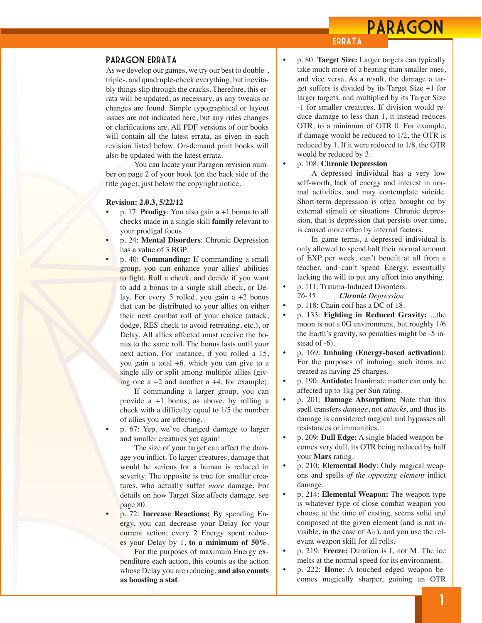## PARAGON

## **ERRATA**

#### Paragon Errata

As we develop our games, we try our best to double-, triple-, and quadruple-check everything, but inevitably things slip through the cracks. Therefore, this errata will be updated, as necessary, as any tweaks or changes are found. Simple typographical or layout issues are not indicated here, but any rules changes or clarifications are. All PDF versions of our books will contain all the latest errata, as given in each revision listed below. On-demand print books will also be updated with the latest errata.

You can locate your Paragon revision number on page 2 of your book (on the back side of the title page), just below the copyright notice.

#### **Revision: 2.0.3, 5/22/12**

- p. 17: **Prodigy**: You also gain a +1 bonus to all checks made in a single skill **family** relevant to your prodigal focus.
- p. 24: **Mental Disorders**: Chronic Depression has a value of 3 BGP.
- p. 40: **Commanding:** If commanding a small group, you can enhance your allies' abilities to fight. Roll a check, and decide if you want to add a bonus to a single skill check, or Delay. For every 5 rolled, you gain a +2 bonus that can be distributed to your allies on either their next combat roll of your choice (attack, dodge, RES check to avoid retreating, etc.), or Delay. All allies affected must receive the bonus to the same roll. The bonus lasts until your next action. For instance, if you rolled a 15, you gain a total +6, which you can give to a single ally or split among multiple allies (giving one  $a +2$  and another  $a +4$ , for example).

If commanding a larger group, you can provide a +1 bonus, as above, by rolling a check with a difficulty equal to 1/5 the number of allies you are affecting.

• p. 67: Yep, we've changed damage to larger and smaller creatures yet again!

The size of your target can affect the damage you inflict. To larger creatures, damage that would be serious for a human is reduced in severity. The opposite is true for smaller creatures, who actually suffer *more* damage. For details on how Target Size affects damage, see page 80.

• p. 72: **Increase Reactions:** By spending Energy, you can decrease your Delay for your current action; every 2 Energy spent reduces your Delay by 1, **to a minimum of 50%**.

For the purposes of maximum Energy expenditure each action, this counts as the action whose Delay you are reducing, **and also counts as boosting a stat**.

- p. 80: **Target Size:** Larger targets can typically take much more of a beating than smaller ones, and vice versa. As a result, the damage a target suffers is divided by its Target Size +1 for larger targets, and multiplied by its Target Size -1 for smaller creatures. If division would reduce damage to less than 1, it instead reduces OTR, to a minimum of OTR 0. For example, if damage would be reduced to 1/2, the OTR is reduced by 1. If it were reduced to 1/8, the OTR would be reduced by 3.
- p. 108: **Chronic Depression**

A depressed individual has a very low self-worth, lack of energy and interest in normal activities, and may contemplate suicide. Short-term depression is often brought on by external stimuli or situations. Chronic depression, that is depression that persists over time, is caused more often by internal factors.

In game terms, a depressed individual is only allowed to spend half their normal amount of EXP per week, can't benefit at all from a teacher, and can't spend Energy, essentially lacking the will to put any effort into anything.

- p. 111: Trauma-Induced Disorders: *26-35 Chronic Depression*
- p. 118: Chain coif has a DC of 18.
- p. 133: **Fighting in Reduced Gravity:** ...the moon is not a 0G environment, but roughly 1/6 the Earth's gravity, so penalties might be -5 instead of -6).
- p. 169: **Imbuing (Energy-based activation)**: For the purposes of imbuing, such items are treated as having 25 charges.
- p. 190: **Antidote:** Inanimate matter can only be affected up to 1kg per Sun rating.
- p. 201: **Damage Absorption:** Note that this spell transfers *damage*, not *attacks*, and thus its damage is considered magical and bypasses all resistances or immunities.
- p. 209: **Dull Edge:** A single bladed weapon becomes very dull, its OTR being reduced by half your **Mars** rating.
- p. 210: **Elemental Body**: Only magical weapons and spells *of the opposing element* inflict damage.
- p. 214: **Elemental Weapon:** The weapon type is whatever type of close combat weapon you choose at the time of casting, seems solid and composed of the given element (and is not invisible, in the case of Air), and you use the relevant weapon skill for all rolls.
- p. 219: **Freeze:** Duration is I, not M. The ice melts at the normal speed for its environment.
- p. 222: **Hone**: A touched edged weapon becomes magically sharper, gaining an OTR